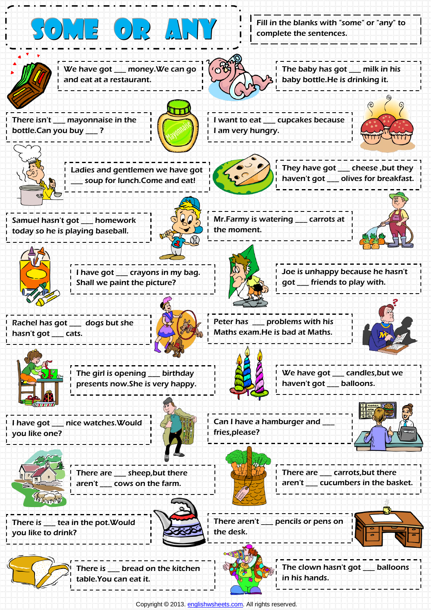



There is \_\_\_ bread on the kitchen table.You can eat it.



The clown hasn't got \_\_\_ balloons in his hands.